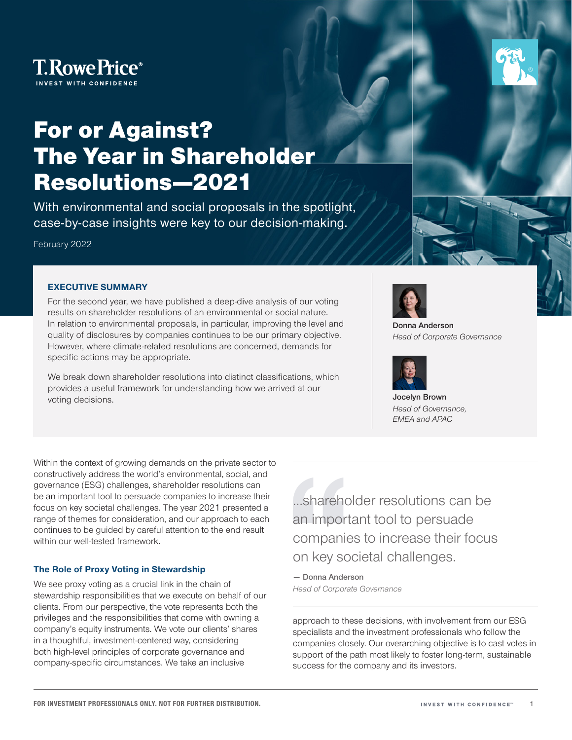

# For or Against? The Year in Shareholder Resolutions—2021

With environmental and social proposals in the spotlight, case-by-case insights were key to our decision-making.

February 2022

#### **EXECUTIVE SUMMARY**

For the second year, we have published a deep‑dive analysis of our voting results on shareholder resolutions of an environmental or social nature. In relation to environmental proposals, in particular, improving the level and quality of disclosures by companies continues to be our primary objective. However, where climate‑related resolutions are concerned, demands for specific actions may be appropriate.

We break down shareholder resolutions into distinct classifications, which provides a useful framework for understanding how we arrived at our voting decisions.

Within the context of growing demands on the private sector to constructively address the world's environmental, social, and governance (ESG) challenges, shareholder resolutions can be an important tool to persuade companies to increase their focus on key societal challenges. The year 2021 presented a range of themes for consideration, and our approach to each continues to be guided by careful attention to the end result within our well-tested framework.

#### **The Role of Proxy Voting in Stewardship**

We see proxy voting as a crucial link in the chain of stewardship responsibilities that we execute on behalf of our clients. From our perspective, the vote represents both the privileges and the responsibilities that come with owning a company's equity instruments. We vote our clients' shares in a thoughtful, investment-centered way, considering both high-level principles of corporate governance and company‑specific circumstances. We take an inclusive

…shareholder resolutions can be an important tool to persuade companies to increase their focus on key societal challenges.

**— Donna Anderson** *Head of Corporate Governance*

approach to these decisions, with involvement from our ESG specialists and the investment professionals who follow the companies closely. Our overarching objective is to cast votes in support of the path most likely to foster long-term, sustainable success for the company and its investors.

**Donna Anderson** *Head of Corporate Governance*



**Jocelyn Brown** *Head of Governance, EMEA and APAC*



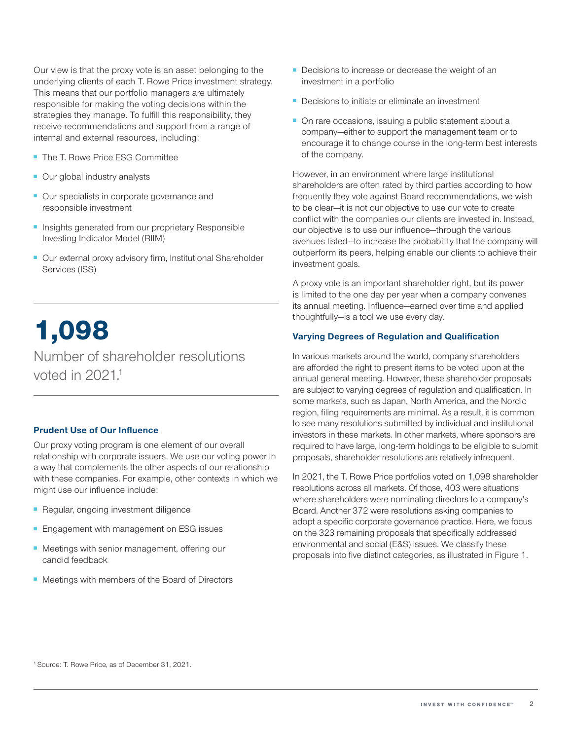Our view is that the proxy vote is an asset belonging to the underlying clients of each T. Rowe Price investment strategy. This means that our portfolio managers are ultimately responsible for making the voting decisions within the strategies they manage. To fulfill this responsibility, they receive recommendations and support from a range of internal and external resources, including:

- The T. Rowe Price ESG Committee
- Our global industry analysts
- Our specialists in corporate governance and responsible investment
- Insights generated from our proprietary Responsible Investing Indicator Model (RIIM)
- Our external proxy advisory firm, Institutional Shareholder Services (ISS)

# 1,098

Number of shareholder resolutions voted in  $2021<sup>1</sup>$ 

#### **Prudent Use of Our Influence**

Our proxy voting program is one element of our overall relationship with corporate issuers. We use our voting power in a way that complements the other aspects of our relationship with these companies. For example, other contexts in which we might use our influence include:

- Regular, ongoing investment diligence
- Engagement with management on ESG issues
- Meetings with senior management, offering our candid feedback
- Meetings with members of the Board of Directors
- Decisions to increase or decrease the weight of an investment in a portfolio
- Decisions to initiate or eliminate an investment
- On rare occasions, issuing a public statement about a company—either to support the management team or to encourage it to change course in the long-term best interests of the company.

However, in an environment where large institutional shareholders are often rated by third parties according to how frequently they vote against Board recommendations, we wish to be clear—it is not our objective to use our vote to create conflict with the companies our clients are invested in. Instead, our objective is to use our influence—through the various avenues listed—to increase the probability that the company will outperform its peers, helping enable our clients to achieve their investment goals.

A proxy vote is an important shareholder right, but its power is limited to the one day per year when a company convenes its annual meeting. Influence—earned over time and applied thoughtfully—is a tool we use every day.

#### **Varying Degrees of Regulation and Qualification**

In various markets around the world, company shareholders are afforded the right to present items to be voted upon at the annual general meeting. However, these shareholder proposals are subject to varying degrees of regulation and qualification. In some markets, such as Japan, North America, and the Nordic region, filing requirements are minimal. As a result, it is common to see many resolutions submitted by individual and institutional investors in these markets. In other markets, where sponsors are required to have large, long-term holdings to be eligible to submit proposals, shareholder resolutions are relatively infrequent.

In 2021, the T. Rowe Price portfolios voted on 1,098 shareholder resolutions across all markets. Of those, 403 were situations where shareholders were nominating directors to a company's Board. Another 372 were resolutions asking companies to adopt a specific corporate governance practice. Here, we focus on the 323 remaining proposals that specifically addressed environmental and social (E&S) issues. We classify these proposals into five distinct categories, as illustrated in Figure 1.

<sup>1</sup> Source: T. Rowe Price, as of December 31, 2021.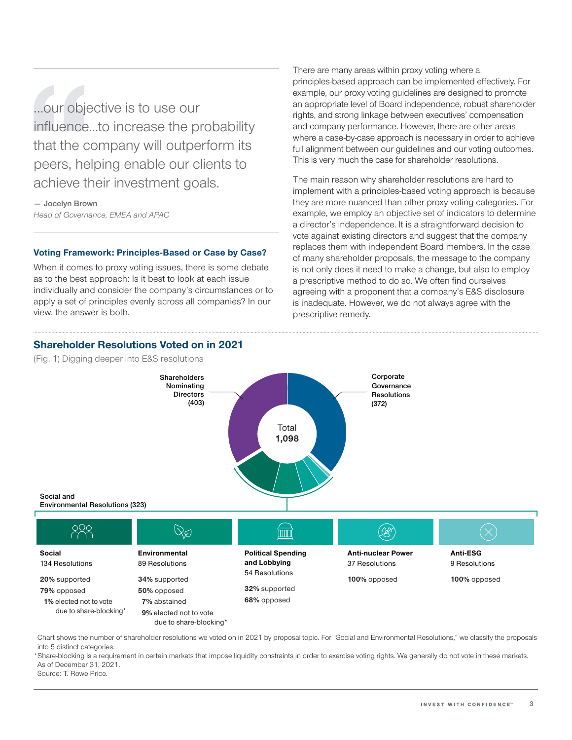…our objective is to use our influence...to increase the probability that the company will outperform its peers, helping enable our clients to achieve their investment goals.

**— Jocelyn Brown** *Head of Governance, EMEA and APAC*

#### **Voting Framework: Principles‑Based or Case by Case?**

When it comes to proxy voting issues, there is some debate as to the best approach: Is it best to look at each issue individually and consider the company's circumstances or to apply a set of principles evenly across all companies? In our view, the answer is both.

There are many areas within proxy voting where a principles‑based approach can be implemented effectively. For example, our proxy voting guidelines are designed to promote an appropriate level of Board independence, robust shareholder rights, and strong linkage between executives' compensation and company performance. However, there are other areas where a case-by-case approach is necessary in order to achieve full alignment between our guidelines and our voting outcomes. This is very much the case for shareholder resolutions.

The main reason why shareholder resolutions are hard to implement with a principles-based voting approach is because they are more nuanced than other proxy voting categories. For example, we employ an objective set of indicators to determine a director's independence. It is a straightforward decision to vote against existing directors and suggest that the company replaces them with independent Board members. In the case of many shareholder proposals, the message to the company is not only does it need to make a change, but also to employ a prescriptive method to do so. We often find ourselves agreeing with a proponent that a company's E&S disclosure is inadequate. However, we do not always agree with the prescriptive remedy.



Chart shows the number of shareholder resolutions we voted on in 2021 by proposal topic. For "Social and Environmental Resolutions," we classify the proposals into 5 distinct categories.

\*Share-blocking is a requirement in certain markets that impose liquidity constraints in order to exercise voting rights. We generally do not vote in these markets. As of December 31, 2021.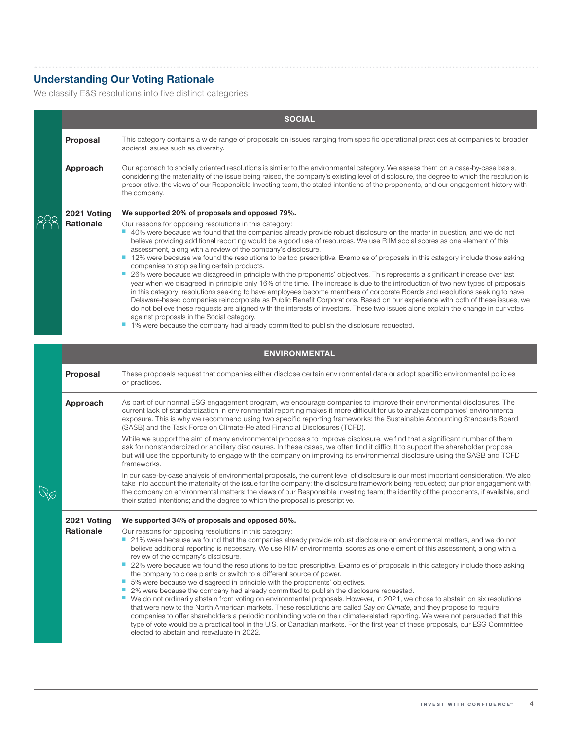## **Understanding Our Voting Rationale**

We classify E&S resolutions into five distinct categories

|  | <b>SOCIAL</b>        |                                                                                                                                                                                                                                                                                                                                                                                                                                                                                                                                                                                                                                                                                                                                                                                                                                                                                                                                                                                                                                                                                                                                                                                                                                                                                                                                                                               |  |  |  |
|--|----------------------|-------------------------------------------------------------------------------------------------------------------------------------------------------------------------------------------------------------------------------------------------------------------------------------------------------------------------------------------------------------------------------------------------------------------------------------------------------------------------------------------------------------------------------------------------------------------------------------------------------------------------------------------------------------------------------------------------------------------------------------------------------------------------------------------------------------------------------------------------------------------------------------------------------------------------------------------------------------------------------------------------------------------------------------------------------------------------------------------------------------------------------------------------------------------------------------------------------------------------------------------------------------------------------------------------------------------------------------------------------------------------------|--|--|--|
|  | Proposal             | This category contains a wide range of proposals on issues ranging from specific operational practices at companies to broader<br>societal issues such as diversity.                                                                                                                                                                                                                                                                                                                                                                                                                                                                                                                                                                                                                                                                                                                                                                                                                                                                                                                                                                                                                                                                                                                                                                                                          |  |  |  |
|  | Approach             | Our approach to socially oriented resolutions is similar to the environmental category. We assess them on a case-by-case basis,<br>considering the materiality of the issue being raised, the company's existing level of disclosure, the degree to which the resolution is<br>prescriptive, the views of our Responsible Investing team, the stated intentions of the proponents, and our engagement history with<br>the company.                                                                                                                                                                                                                                                                                                                                                                                                                                                                                                                                                                                                                                                                                                                                                                                                                                                                                                                                            |  |  |  |
|  | 2021 Voting          | We supported 20% of proposals and opposed 79%.                                                                                                                                                                                                                                                                                                                                                                                                                                                                                                                                                                                                                                                                                                                                                                                                                                                                                                                                                                                                                                                                                                                                                                                                                                                                                                                                |  |  |  |
|  | Rationale            | Our reasons for opposing resolutions in this category:<br>" 40% were because we found that the companies already provide robust disclosure on the matter in question, and we do not<br>believe providing additional reporting would be a good use of resources. We use RIIM social scores as one element of this<br>assessment, along with a review of the company's disclosure.<br>12% were because we found the resolutions to be too prescriptive. Examples of proposals in this category include those asking<br>companies to stop selling certain products.<br>26% were because we disagreed in principle with the proponents' objectives. This represents a significant increase over last<br>year when we disagreed in principle only 16% of the time. The increase is due to the introduction of two new types of proposals<br>in this category: resolutions seeking to have employees become members of corporate Boards and resolutions seeking to have<br>Delaware-based companies reincorporate as Public Benefit Corporations. Based on our experience with both of these issues, we<br>do not believe these requests are aligned with the interests of investors. These two issues alone explain the change in our votes<br>against proposals in the Social category.<br>1% were because the company had already committed to publish the disclosure requested. |  |  |  |
|  | <b>ENVIRONMENTAL</b> |                                                                                                                                                                                                                                                                                                                                                                                                                                                                                                                                                                                                                                                                                                                                                                                                                                                                                                                                                                                                                                                                                                                                                                                                                                                                                                                                                                               |  |  |  |
|  | Proposal             | These proposals request that companies either disclose certain environmental data or adopt specific environmental policies<br>or practices.                                                                                                                                                                                                                                                                                                                                                                                                                                                                                                                                                                                                                                                                                                                                                                                                                                                                                                                                                                                                                                                                                                                                                                                                                                   |  |  |  |
|  | Approach             | As part of our normal ESG engagement program, we encourage companies to improve their environmental disclosures. The<br>current lack of standardization in environmental reporting makes it more difficult for us to analyze companies' environmental<br>exposure. This is why we recommend using two specific reporting frameworks: the Sustainable Accounting Standards Board<br>(SASB) and the Task Force on Climate-Related Financial Disclosures (TCFD).                                                                                                                                                                                                                                                                                                                                                                                                                                                                                                                                                                                                                                                                                                                                                                                                                                                                                                                 |  |  |  |
|  |                      | While we support the aim of many environmental proposals to improve disclosure, we find that a significant number of them<br>ask for nonstandardized or ancillary disclosures. In these cases, we often find it difficult to support the shareholder proposal<br>but will use the opportunity to engage with the company on improving its environmental disclosure using the SASB and TCFD<br>frameworks.                                                                                                                                                                                                                                                                                                                                                                                                                                                                                                                                                                                                                                                                                                                                                                                                                                                                                                                                                                     |  |  |  |
|  |                      | In our case-by-case analysis of environmental proposals, the current level of disclosure is our most important consideration. We also<br>take into account the materiality of the issue for the company; the disclosure framework being requested; our prior engagement with<br>the company on environmental matters; the views of our Responsible Investing team; the identity of the proponents, if available, and<br>their stated intentions; and the degree to which the proposal is prescriptive.                                                                                                                                                                                                                                                                                                                                                                                                                                                                                                                                                                                                                                                                                                                                                                                                                                                                        |  |  |  |
|  | 2021 Voting          | We supported 34% of proposals and opposed 50%.                                                                                                                                                                                                                                                                                                                                                                                                                                                                                                                                                                                                                                                                                                                                                                                                                                                                                                                                                                                                                                                                                                                                                                                                                                                                                                                                |  |  |  |
|  | <b>Rationale</b>     | Our reasons for opposing resolutions in this category:<br>21% were because we found that the companies already provide robust disclosure on environmental matters, and we do not<br>believe additional reporting is necessary. We use RIIM environmental scores as one element of this assessment, along with a<br>review of the company's disclosure.<br>ш<br>22% were because we found the resolutions to be too prescriptive. Examples of proposals in this category include those asking<br>the company to close plants or switch to a different source of power.<br>ш<br>5% were because we disagreed in principle with the proponents' objectives.<br>2% were because the company had already committed to publish the disclosure requested.<br>■ We do not ordinarily abstain from voting on environmental proposals. However, in 2021, we chose to abstain on six resolutions<br>that were new to the North American markets. These resolutions are called Say on Climate, and they propose to require<br>companies to offer shareholders a periodic nonbinding vote on their climate-related reporting. We were not persuaded that this<br>type of vote would be a practical tool in the U.S. or Canadian markets. For the first year of these proposals, our ESG Committee<br>elected to abstain and reevaluate in 2022.                                            |  |  |  |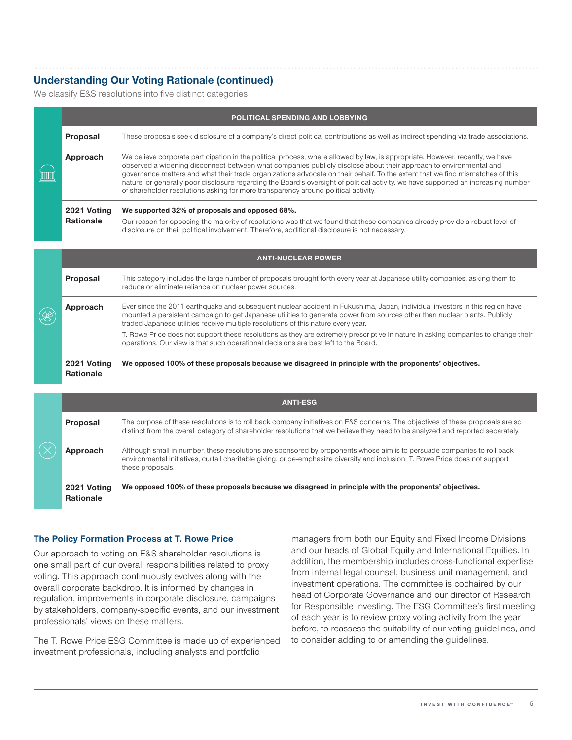## **Understanding Our Voting Rationale (continued)**

We classify E&S resolutions into five distinct categories

|          |                                 | <b>POLITICAL SPENDING AND LOBBYING</b>                                                                                                                                                                                                                                                                                                                                                                                                                                                                                                                                                                          |  |  |
|----------|---------------------------------|-----------------------------------------------------------------------------------------------------------------------------------------------------------------------------------------------------------------------------------------------------------------------------------------------------------------------------------------------------------------------------------------------------------------------------------------------------------------------------------------------------------------------------------------------------------------------------------------------------------------|--|--|
|          | Proposal                        | These proposals seek disclosure of a company's direct political contributions as well as indirect spending via trade associations.                                                                                                                                                                                                                                                                                                                                                                                                                                                                              |  |  |
| Approach |                                 | We believe corporate participation in the political process, where allowed by law, is appropriate. However, recently, we have<br>observed a widening disconnect between what companies publicly disclose about their approach to environmental and<br>governance matters and what their trade organizations advocate on their behalf. To the extent that we find mismatches of this<br>nature, or generally poor disclosure regarding the Board's oversight of political activity, we have supported an increasing number<br>of shareholder resolutions asking for more transparency around political activity. |  |  |
|          | 2021 Voting<br><b>Rationale</b> | We supported 32% of proposals and opposed 68%.<br>Our reason for opposing the majority of resolutions was that we found that these companies already provide a robust level of<br>disclosure on their political involvement. Therefore, additional disclosure is not necessary.                                                                                                                                                                                                                                                                                                                                 |  |  |

|     | <b>ANTI-NUCLEAR POWER</b>       |                                                                                                                                                                                                                                                                                                                                                 |  |
|-----|---------------------------------|-------------------------------------------------------------------------------------------------------------------------------------------------------------------------------------------------------------------------------------------------------------------------------------------------------------------------------------------------|--|
| (X) | Proposal                        | This category includes the large number of proposals brought forth every year at Japanese utility companies, asking them to<br>reduce or eliminate reliance on nuclear power sources.                                                                                                                                                           |  |
|     | Approach                        | Ever since the 2011 earthquake and subsequent nuclear accident in Fukushima, Japan, individual investors in this region have<br>mounted a persistent campaign to get Japanese utilities to generate power from sources other than nuclear plants. Publicly<br>traded Japanese utilities receive multiple resolutions of this nature every year. |  |
|     |                                 | T. Rowe Price does not support these resolutions as they are extremely prescriptive in nature in asking companies to change their<br>operations. Our view is that such operational decisions are best left to the Board.                                                                                                                        |  |
|     | 2021 Voting<br><b>Rationale</b> | We opposed 100% of these proposals because we disagreed in principle with the proponents' objectives.                                                                                                                                                                                                                                           |  |

|  |                                 | <b>ANTI-ESG</b>                                                                                                                                                                                                                                                              |  |  |
|--|---------------------------------|------------------------------------------------------------------------------------------------------------------------------------------------------------------------------------------------------------------------------------------------------------------------------|--|--|
|  | Proposal                        | The purpose of these resolutions is to roll back company initiatives on E&S concerns. The objectives of these proposals are so<br>distinct from the overall category of shareholder resolutions that we believe they need to be analyzed and reported separately.            |  |  |
|  | Approach                        | Although small in number, these resolutions are sponsored by proponents whose aim is to persuade companies to roll back<br>environmental initiatives, curtail charitable giving, or de-emphasize diversity and inclusion. T. Rowe Price does not support<br>these proposals. |  |  |
|  | 2021 Voting<br><b>Rationale</b> | We opposed 100% of these proposals because we disagreed in principle with the proponents' objectives.                                                                                                                                                                        |  |  |

#### **The Policy Formation Process at T. Rowe Price**

Our approach to voting on E&S shareholder resolutions is one small part of our overall responsibilities related to proxy voting. This approach continuously evolves along with the overall corporate backdrop. It is informed by changes in regulation, improvements in corporate disclosure, campaigns by stakeholders, company‑specific events, and our investment professionals' views on these matters.

The T. Rowe Price ESG Committee is made up of experienced investment professionals, including analysts and portfolio

managers from both our Equity and Fixed Income Divisions and our heads of Global Equity and International Equities. In addition, the membership includes cross-functional expertise from internal legal counsel, business unit management, and investment operations. The committee is cochaired by our head of Corporate Governance and our director of Research for Responsible Investing. The ESG Committee's first meeting of each year is to review proxy voting activity from the year before, to reassess the suitability of our voting guidelines, and to consider adding to or amending the guidelines.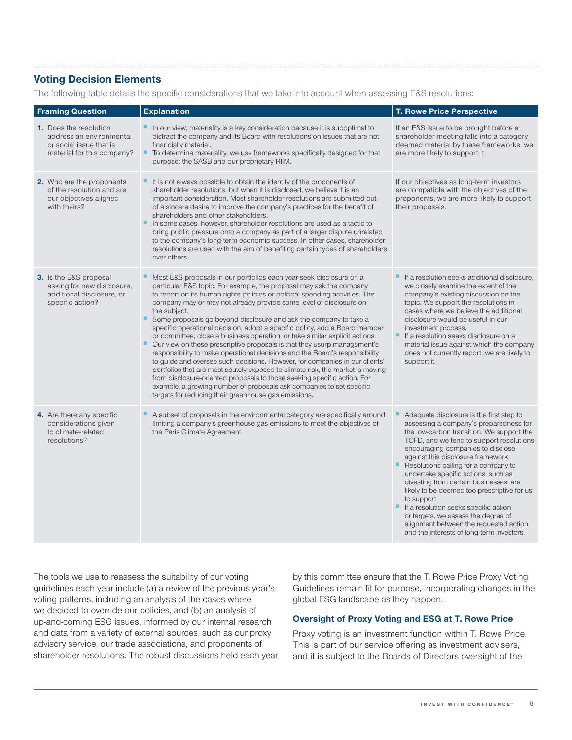### **Voting Decision Elements**

The following table details the specific considerations that we take into account when assessing E&S resolutions:

| <b>Framing Question</b>                                                                                            | <b>Explanation</b>                                                                                                                                                                                                                                                                                                                                                                                                                                                                                                                                                                                                                                                                                                                                                                                                                                                                                                                                                                                                                                                                              | <b>T. Rowe Price Perspective</b>                                                                                                                                                                                                                                                                                                                                                                                                                                                                                                                                                                                     |
|--------------------------------------------------------------------------------------------------------------------|-------------------------------------------------------------------------------------------------------------------------------------------------------------------------------------------------------------------------------------------------------------------------------------------------------------------------------------------------------------------------------------------------------------------------------------------------------------------------------------------------------------------------------------------------------------------------------------------------------------------------------------------------------------------------------------------------------------------------------------------------------------------------------------------------------------------------------------------------------------------------------------------------------------------------------------------------------------------------------------------------------------------------------------------------------------------------------------------------|----------------------------------------------------------------------------------------------------------------------------------------------------------------------------------------------------------------------------------------------------------------------------------------------------------------------------------------------------------------------------------------------------------------------------------------------------------------------------------------------------------------------------------------------------------------------------------------------------------------------|
| <b>1.</b> Does the resolution<br>address an environmental<br>or social issue that is<br>material for this company? | In our view, materiality is a key consideration because it is suboptimal to<br>distract the company and its Board with resolutions on issues that are not<br>financially material.<br>٠<br>To determine materiality, we use frameworks specifically designed for that<br>purpose: the SASB and our proprietary RIIM.                                                                                                                                                                                                                                                                                                                                                                                                                                                                                                                                                                                                                                                                                                                                                                            | If an E&S issue to be brought before a<br>shareholder meeting falls into a category<br>deemed material by these frameworks, we<br>are more likely to support it.                                                                                                                                                                                                                                                                                                                                                                                                                                                     |
| 2. Who are the proponents<br>of the resolution and are<br>our objectives aligned<br>with theirs?                   | It is not always possible to obtain the identity of the proponents of<br>shareholder resolutions, but when it is disclosed, we believe it is an<br>important consideration. Most shareholder resolutions are submitted out<br>of a sincere desire to improve the company's practices for the benefit of<br>shareholders and other stakeholders.<br>In some cases, however, shareholder resolutions are used as a tactic to<br>ш<br>bring public pressure onto a company as part of a larger dispute unrelated<br>to the company's long-term economic success. In other cases, shareholder<br>resolutions are used with the aim of benefiting certain types of shareholders<br>over others.                                                                                                                                                                                                                                                                                                                                                                                                      | If our objectives as long-term investors<br>are compatible with the objectives of the<br>proponents, we are more likely to support<br>their proposals.                                                                                                                                                                                                                                                                                                                                                                                                                                                               |
| 3. Is the E&S proposal<br>asking for new disclosure,<br>additional disclosure, or<br>specific action?              | Most E&S proposals in our portfolios each year seek disclosure on a<br>particular E&S topic. For example, the proposal may ask the company<br>to report on its human rights policies or political spending activities. The<br>company may or may not already provide some level of disclosure on<br>the subject.<br>٠<br>Some proposals go beyond disclosure and ask the company to take a<br>specific operational decision, adopt a specific policy, add a Board member<br>or committee, close a business operation, or take similar explicit actions.<br>Our view on these prescriptive proposals is that they usurp management's<br>responsibility to make operational decisions and the Board's responsibility<br>to guide and oversee such decisions. However, for companies in our clients'<br>portfolios that are most acutely exposed to climate risk, the market is moving<br>from disclosure-oriented proposals to those seeking specific action. For<br>example, a growing number of proposals ask companies to set specific<br>targets for reducing their greenhouse gas emissions. | If a resolution seeks additional disclosure,<br>we closely examine the extent of the<br>company's existing discussion on the<br>topic. We support the resolutions in<br>cases where we believe the additional<br>disclosure would be useful in our<br>investment process.<br>If a resolution seeks disclosure on a<br>material issue against which the company<br>does not currently report, we are likely to<br>support it.                                                                                                                                                                                         |
| 4. Are there any specific<br>considerations given<br>to climate-related<br>resolutions?                            | A subset of proposals in the environmental category are specifically around<br>limiting a company's greenhouse gas emissions to meet the objectives of<br>the Paris Climate Agreement.                                                                                                                                                                                                                                                                                                                                                                                                                                                                                                                                                                                                                                                                                                                                                                                                                                                                                                          | Adequate disclosure is the first step to<br>assessing a company's preparedness for<br>the low-carbon transition. We support the<br>TCFD, and we tend to support resolutions<br>encouraging companies to disclose<br>against this disclosure framework.<br>Resolutions calling for a company to<br>undertake specific actions, such as<br>divesting from certain businesses, are<br>likely to be deemed too prescriptive for us<br>to support.<br>If a resolution seeks specific action<br>or targets, we assess the degree of<br>alignment between the requested action<br>and the interests of long-term investors. |

The tools we use to reassess the suitability of our voting guidelines each year include (a) a review of the previous year's voting patterns, including an analysis of the cases where we decided to override our policies, and (b) an analysis of up‑and‑coming ESG issues, informed by our internal research and data from a variety of external sources, such as our proxy advisory service, our trade associations, and proponents of shareholder resolutions. The robust discussions held each year by this committee ensure that the T. Rowe Price Proxy Voting Guidelines remain fit for purpose, incorporating changes in the global ESG landscape as they happen.

#### **Oversight of Proxy Voting and ESG at T. Rowe Price**

Proxy voting is an investment function within T. Rowe Price. This is part of our service offering as investment advisers, and it is subject to the Boards of Directors oversight of the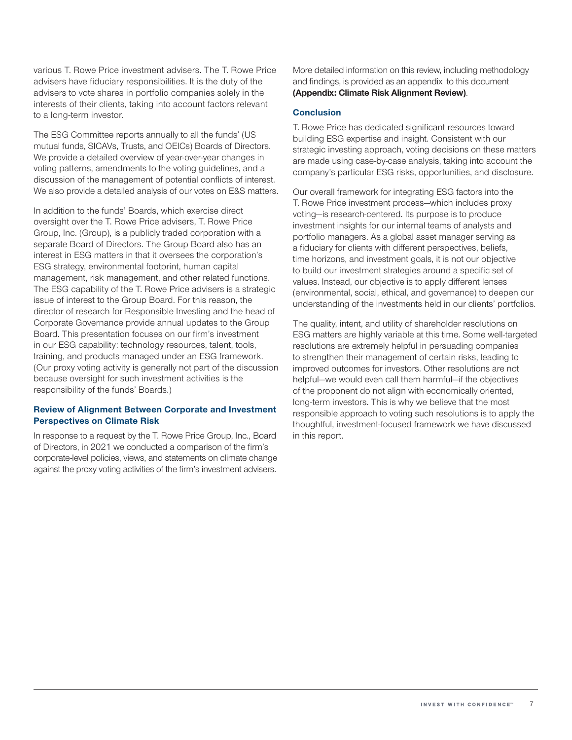various T. Rowe Price investment advisers. The T. Rowe Price advisers have fiduciary responsibilities. It is the duty of the advisers to vote shares in portfolio companies solely in the interests of their clients, taking into account factors relevant to a long-term investor.

The ESG Committee reports annually to all the funds' (US mutual funds, SICAVs, Trusts, and OEICs) Boards of Directors. We provide a detailed overview of year-over-year changes in voting patterns, amendments to the voting guidelines, and a discussion of the management of potential conflicts of interest. We also provide a detailed analysis of our votes on E&S matters.

In addition to the funds' Boards, which exercise direct oversight over the T. Rowe Price advisers, T. Rowe Price Group, Inc. (Group), is a publicly traded corporation with a separate Board of Directors. The Group Board also has an interest in ESG matters in that it oversees the corporation's ESG strategy, environmental footprint, human capital management, risk management, and other related functions. The ESG capability of the T. Rowe Price advisers is a strategic issue of interest to the Group Board. For this reason, the director of research for Responsible Investing and the head of Corporate Governance provide annual updates to the Group Board. This presentation focuses on our firm's investment in our ESG capability: technology resources, talent, tools, training, and products managed under an ESG framework. (Our proxy voting activity is generally not part of the discussion because oversight for such investment activities is the responsibility of the funds' Boards.)

#### **Review of Alignment Between Corporate and Investment Perspectives on Climate Risk**

In response to a request by the T. Rowe Price Group, Inc., Board of Directors, in 2021 we conducted a comparison of the firm's corporate-level policies, views, and statements on climate change against the proxy voting activities of the firm's investment advisers.

More detailed information on this review, including methodology and findings, is provided as an appendix to this document **(Appendix: Climate Risk Alignment Review)**.

#### **Conclusion**

T. Rowe Price has dedicated significant resources toward building ESG expertise and insight. Consistent with our strategic investing approach, voting decisions on these matters are made using case‑by‑case analysis, taking into account the company's particular ESG risks, opportunities, and disclosure.

Our overall framework for integrating ESG factors into the T. Rowe Price investment process—which includes proxy voting—is research‑centered. Its purpose is to produce investment insights for our internal teams of analysts and portfolio managers. As a global asset manager serving as a fiduciary for clients with different perspectives, beliefs, time horizons, and investment goals, it is not our objective to build our investment strategies around a specific set of values. Instead, our objective is to apply different lenses (environmental, social, ethical, and governance) to deepen our understanding of the investments held in our clients' portfolios.

The quality, intent, and utility of shareholder resolutions on ESG matters are highly variable at this time. Some well-targeted resolutions are extremely helpful in persuading companies to strengthen their management of certain risks, leading to improved outcomes for investors. Other resolutions are not helpful—we would even call them harmful—if the objectives of the proponent do not align with economically oriented, long-term investors. This is why we believe that the most responsible approach to voting such resolutions is to apply the thoughtful, investment‑focused framework we have discussed in this report.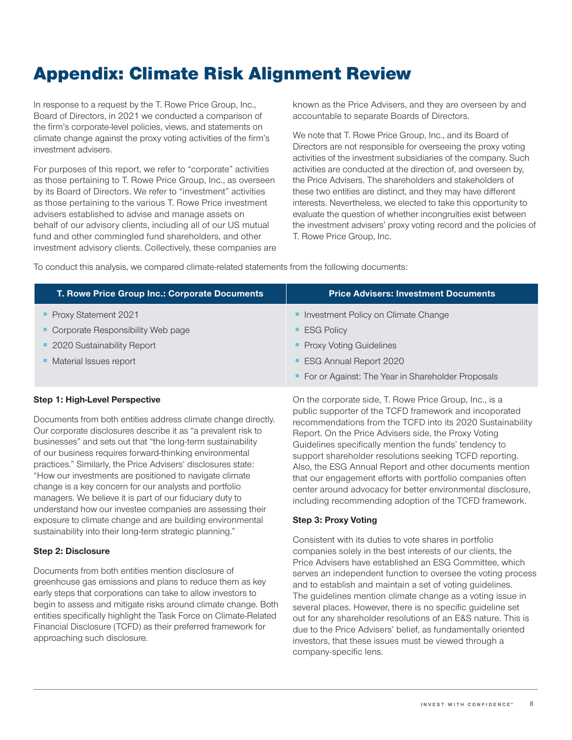# Appendix: Climate Risk Alignment Review

In response to a request by the T. Rowe Price Group, Inc., Board of Directors, in 2021 we conducted a comparison of the firm's corporate-level policies, views, and statements on climate change against the proxy voting activities of the firm's investment advisers.

For purposes of this report, we refer to "corporate" activities as those pertaining to T. Rowe Price Group, Inc., as overseen by its Board of Directors. We refer to "investment" activities as those pertaining to the various T. Rowe Price investment advisers established to advise and manage assets on behalf of our advisory clients, including all of our US mutual fund and other commingled fund shareholders, and other investment advisory clients. Collectively, these companies are

known as the Price Advisers, and they are overseen by and accountable to separate Boards of Directors.

We note that T. Rowe Price Group, Inc., and its Board of Directors are not responsible for overseeing the proxy voting activities of the investment subsidiaries of the company. Such activities are conducted at the direction of, and overseen by, the Price Advisers. The shareholders and stakeholders of these two entities are distinct, and they may have different interests. Nevertheless, we elected to take this opportunity to evaluate the question of whether incongruities exist between the investment advisers' proxy voting record and the policies of T. Rowe Price Group, Inc.

To conduct this analysis, we compared climate-related statements from the following documents:

| T. Rowe Price Group Inc.: Corporate Documents | <b>Price Advisers: Investment Documents</b>         |
|-----------------------------------------------|-----------------------------------------------------|
| • Proxy Statement 2021                        | • Investment Policy on Climate Change               |
| Corporate Responsibility Web page             | <b>ESG Policy</b>                                   |
| • 2020 Sustainability Report                  | • Proxy Voting Guidelines                           |
| • Material Issues report                      | <b>ESG Annual Report 2020</b>                       |
|                                               | • For or Against: The Year in Shareholder Proposals |

#### **Step 1: High‑Level Perspective**

Documents from both entities address climate change directly. Our corporate disclosures describe it as "a prevalent risk to businesses" and sets out that "the long-term sustainability of our business requires forward‑thinking environmental practices." Similarly, the Price Advisers' disclosures state: "How our investments are positioned to navigate climate change is a key concern for our analysts and portfolio managers. We believe it is part of our fiduciary duty to understand how our investee companies are assessing their exposure to climate change and are building environmental sustainability into their long-term strategic planning."

#### **Step 2: Disclosure**

Documents from both entities mention disclosure of greenhouse gas emissions and plans to reduce them as key early steps that corporations can take to allow investors to begin to assess and mitigate risks around climate change. Both entities specifically highlight the Task Force on Climate-Related Financial Disclosure (TCFD) as their preferred framework for approaching such disclosure.

On the corporate side, T. Rowe Price Group, Inc., is a public supporter of the TCFD framework and incoporated recommendations from the TCFD into its 2020 Sustainability Report. On the Price Advisers side, the Proxy Voting Guidelines specifically mention the funds' tendency to support shareholder resolutions seeking TCFD reporting. Also, the ESG Annual Report and other documents mention that our engagement efforts with portfolio companies often center around advocacy for better environmental disclosure, including recommending adoption of the TCFD framework.

#### **Step 3: Proxy Voting**

Consistent with its duties to vote shares in portfolio companies solely in the best interests of our clients, the Price Advisers have established an ESG Committee, which serves an independent function to oversee the voting process and to establish and maintain a set of voting guidelines. The guidelines mention climate change as a voting issue in several places. However, there is no specific guideline set out for any shareholder resolutions of an E&S nature. This is due to the Price Advisers' belief, as fundamentally oriented investors, that these issues must be viewed through a company‑specific lens.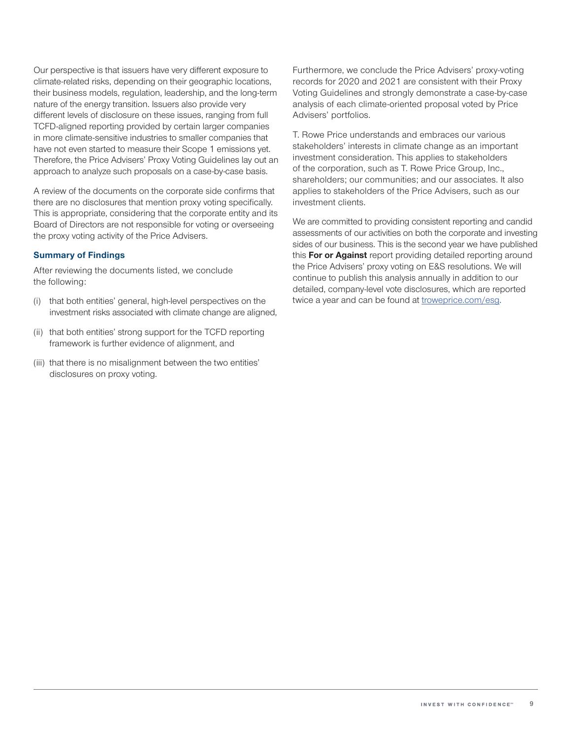Our perspective is that issuers have very different exposure to climate‑related risks, depending on their geographic locations, their business models, regulation, leadership, and the long-term nature of the energy transition. Issuers also provide very different levels of disclosure on these issues, ranging from full TCFD‑aligned reporting provided by certain larger companies in more climate‑sensitive industries to smaller companies that have not even started to measure their Scope 1 emissions yet. Therefore, the Price Advisers' Proxy Voting Guidelines lay out an approach to analyze such proposals on a case-by-case basis.

A review of the documents on the corporate side confirms that there are no disclosures that mention proxy voting specifically. This is appropriate, considering that the corporate entity and its Board of Directors are not responsible for voting or overseeing the proxy voting activity of the Price Advisers.

#### **Summary of Findings**

After reviewing the documents listed, we conclude the following:

- (i) that both entities' general, high-level perspectives on the investment risks associated with climate change are aligned,
- (ii) that both entities' strong support for the TCFD reporting framework is further evidence of alignment, and
- (iii) that there is no misalignment between the two entities' disclosures on proxy voting.

Furthermore, we conclude the Price Advisers' proxy-voting records for 2020 and 2021 are consistent with their Proxy Voting Guidelines and strongly demonstrate a case-by-case analysis of each climate-oriented proposal voted by Price Advisers' portfolios.

T. Rowe Price understands and embraces our various stakeholders' interests in climate change as an important investment consideration. This applies to stakeholders of the corporation, such as T. Rowe Price Group, Inc., shareholders; our communities; and our associates. It also applies to stakeholders of the Price Advisers, such as our investment clients.

We are committed to providing consistent reporting and candid assessments of our activities on both the corporate and investing sides of our business. This is the second year we have published this **For or Against** report providing detailed reporting around the Price Advisers' proxy voting on E&S resolutions. We will continue to publish this analysis annually in addition to our detailed, company‑level vote disclosures, which are reported twice a year and can be found at [troweprice.com/esg.](https://www.troweprice.com/corporate/uk/en/what-we-do/investing-approach/esg-investment-policy.html)